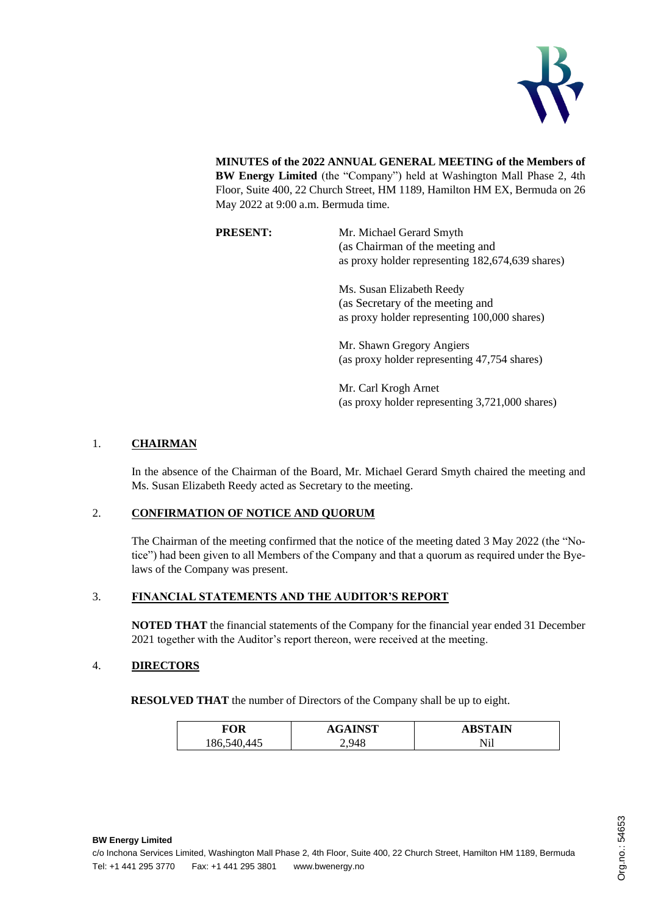

**MINUTES of the 2022 ANNUAL GENERAL MEETING of the Members of BW Energy Limited** (the "Company") held at Washington Mall Phase 2, 4th Floor, Suite 400, 22 Church Street, HM 1189, Hamilton HM EX, Bermuda on 26 May 2022 at 9:00 a.m. Bermuda time.

**PRESENT:** Mr. Michael Gerard Smyth (as Chairman of the meeting and as proxy holder representing 182,674,639 shares)

> Ms. Susan Elizabeth Reedy (as Secretary of the meeting and as proxy holder representing 100,000 shares)

Mr. Shawn Gregory Angiers (as proxy holder representing 47,754 shares)

Mr. Carl Krogh Arnet (as proxy holder representing 3,721,000 shares)

## 1. **CHAIRMAN**

In the absence of the Chairman of the Board, Mr. Michael Gerard Smyth chaired the meeting and Ms. Susan Elizabeth Reedy acted as Secretary to the meeting.

#### 2. **CONFIRMATION OF NOTICE AND QUORUM**

The Chairman of the meeting confirmed that the notice of the meeting dated 3 May 2022 (the "Notice") had been given to all Members of the Company and that a quorum as required under the Byelaws of the Company was present.

### 3. **FINANCIAL STATEMENTS AND THE AUDITOR'S REPORT**

**NOTED THAT** the financial statements of the Company for the financial year ended 31 December 2021 together with the Auditor's report thereon, were received at the meeting.

#### 4. **DIRECTORS**

**RESOLVED THAT** the number of Directors of the Company shall be up to eight.

| <b>FOR</b>      | <b>AGAINST</b> | <b>ABSTAIN</b>    |
|-----------------|----------------|-------------------|
| 186,54<br>ى44 ' | ാ∆െ            | . T*1<br>.N.<br>. |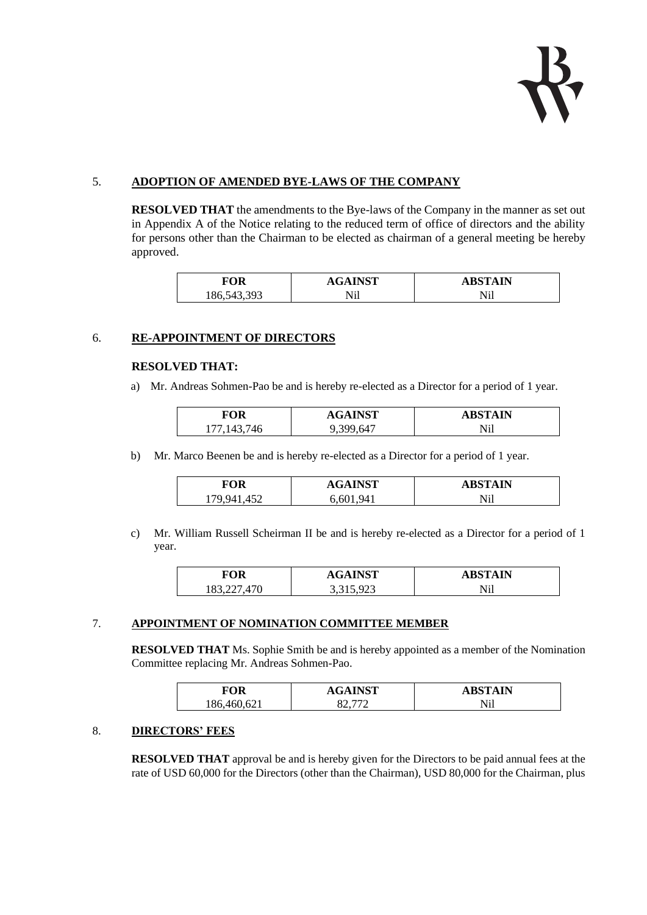

# 5. **ADOPTION OF AMENDED BYE-LAWS OF THE COMPANY**

**RESOLVED THAT** the amendments to the Bye-laws of the Company in the manner as set out in Appendix A of the Notice relating to the reduced term of office of directors and the ability for persons other than the Chairman to be elected as chairman of a general meeting be hereby approved.

| FOR<br>vn   | <b>AGAINST</b> | <b>ABSTAIN</b> |
|-------------|----------------|----------------|
| 186,543,393 | .71<br>N11     | NП             |

## 6. **RE-APPOINTMENT OF DIRECTORS**

#### **RESOLVED THAT:**

a) Mr. Andreas Sohmen-Pao be and is hereby re-elected as a Director for a period of 1 year.

| FOR  | <b>AGAINST</b> | <b>ABSTAIN</b> |
|------|----------------|----------------|
| 177. | .647           | $\mathbf{r}$   |
| 746  | 300            | ,,,,           |

b) Mr. Marco Beenen be and is hereby re-elected as a Director for a period of 1 year.

| <b>FOR</b> | <b>AGAINST</b>     | <b>ABSTAIN</b>   |
|------------|--------------------|------------------|
| 79 94.     | $Q\Lambda$<br>. 60 | $N^{\cdot\cdot}$ |

c) Mr. William Russell Scheirman II be and is hereby re-elected as a Director for a period of 1 year.

| FOR     | <b>AGAINST</b>     | <b>ABSTAIN</b> |
|---------|--------------------|----------------|
| 183,227 | <u>J.JIJ.</u><br>. | $N_{\rm h}$    |

### 7. **APPOINTMENT OF NOMINATION COMMITTEE MEMBER**

**RESOLVED THAT** Ms. Sophie Smith be and is hereby appointed as a member of the Nomination Committee replacing Mr. Andreas Sohmen-Pao.

| <b>FOR</b>             | <b>AGAINST</b>                        | <b>ABSTAIN</b> |
|------------------------|---------------------------------------|----------------|
| .621<br>186,460<br>∪∠⊥ | $\overline{\phantom{a}}$<br>Ωn<br>ے ت | INH            |

## 8. **DIRECTORS' FEES**

**RESOLVED THAT** approval be and is hereby given for the Directors to be paid annual fees at the rate of USD 60,000 for the Directors (other than the Chairman), USD 80,000 for the Chairman, plus